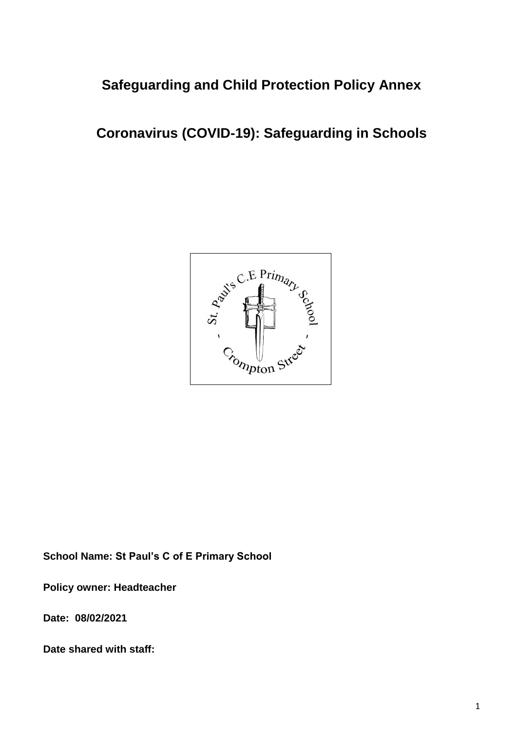## **Safeguarding and Child Protection Policy Annex**

# **Coronavirus (COVID-19): Safeguarding in Schools**



**School Name: St Paul's C of E Primary School**

**Policy owner: Headteacher**

**Date: 08/02/2021**

**Date shared with staff:**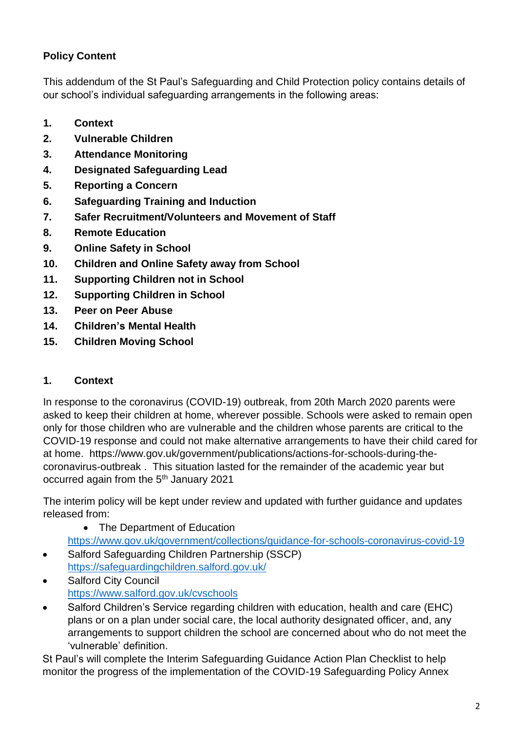## **Policy Content**

This addendum of the St Paul's Safeguarding and Child Protection policy contains details of our school's individual safeguarding arrangements in the following areas:

- **1. Context**
- **2. Vulnerable Children**
- **3. Attendance Monitoring**
- **4. Designated Safeguarding Lead**
- **5. Reporting a Concern**
- **6. Safeguarding Training and Induction**
- **7. Safer Recruitment/Volunteers and Movement of Staff**
- **8. Remote Education**
- **9. Online Safety in School**
- **10. Children and Online Safety away from School**
- **11. Supporting Children not in School**
- **12. Supporting Children in School**
- **13. Peer on Peer Abuse**
- **14. Children's Mental Health**
- **15. Children Moving School**

#### **1. Context**

In response to the coronavirus (COVID-19) outbreak, from 20th March 2020 parents were asked to keep their children at home, wherever possible. Schools were asked to remain open only for those children who are vulnerable and the children whose parents are critical to the COVID-19 response and could not make alternative arrangements to have their child cared for at home. https://www.gov.uk/government/publications/actions-for-schools-during-thecoronavirus-outbreak . This situation lasted for the remainder of the academic year but occurred again from the 5<sup>th</sup> January 2021

The interim policy will be kept under review and updated with further guidance and updates released from:

• The Department of Education

<https://www.gov.uk/government/collections/guidance-for-schools-coronavirus-covid-19>

- Salford Safeguarding Children Partnership (SSCP) <https://safeguardingchildren.salford.gov.uk/>
- Salford City Council <https://www.salford.gov.uk/cvschools>
- Salford Children's Service regarding children with education, health and care (EHC) plans or on a plan under social care, the local authority designated officer, and, any arrangements to support children the school are concerned about who do not meet the 'vulnerable' definition.

St Paul's will complete the Interim Safeguarding Guidance Action Plan Checklist to help monitor the progress of the implementation of the COVID-19 Safeguarding Policy Annex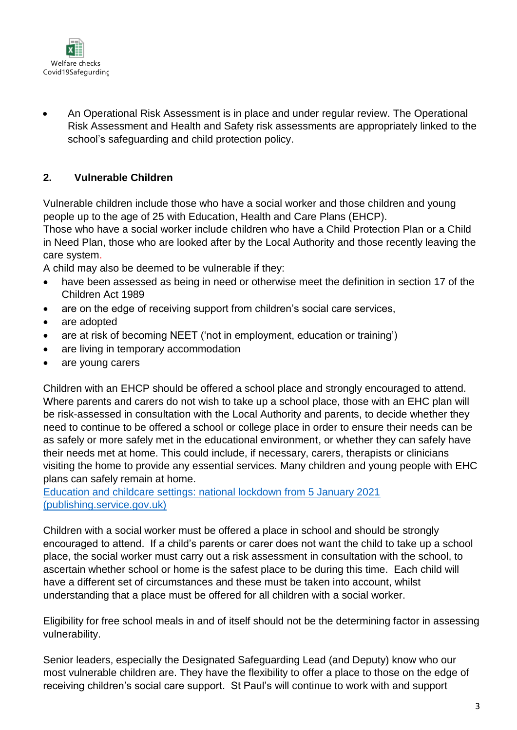

• An Operational Risk Assessment is in place and under regular review. The Operational Risk Assessment and Health and Safety risk assessments are appropriately linked to the school's safeguarding and child protection policy.

#### **2. Vulnerable Children**

Vulnerable children include those who have a social worker and those children and young people up to the age of 25 with Education, Health and Care Plans (EHCP).

Those who have a social worker include children who have a Child Protection Plan or a Child in Need Plan, those who are looked after by the Local Authority and those recently leaving the care system.

A child may also be deemed to be vulnerable if they:

- have been assessed as being in need or otherwise meet the definition in section 17 of the Children Act 1989
- are on the edge of receiving support from children's social care services,
- are adopted
- are at risk of becoming NEET ('not in employment, education or training')
- are living in temporary accommodation
- are young carers

Children with an EHCP should be offered a school place and strongly encouraged to attend. Where parents and carers do not wish to take up a school place, those with an EHC plan will be risk-assessed in consultation with the Local Authority and parents, to decide whether they need to continue to be offered a school or college place in order to ensure their needs can be as safely or more safely met in the educational environment, or whether they can safely have their needs met at home. This could include, if necessary, carers, therapists or clinicians visiting the home to provide any essential services. Many children and young people with EHC plans can safely remain at home.

[Education and childcare settings: national lockdown from 5 January 2021](https://assets.publishing.service.gov.uk/government/uploads/system/uploads/attachment_data/file/950653/Education_and_childcare_settings_-_national_lockdown_from_5_January_2021_.pdf)  [\(publishing.service.gov.uk\)](https://assets.publishing.service.gov.uk/government/uploads/system/uploads/attachment_data/file/950653/Education_and_childcare_settings_-_national_lockdown_from_5_January_2021_.pdf)

Children with a social worker must be offered a place in school and should be strongly encouraged to attend. If a child's parents or carer does not want the child to take up a school place, the social worker must carry out a risk assessment in consultation with the school, to ascertain whether school or home is the safest place to be during this time. Each child will have a different set of circumstances and these must be taken into account, whilst understanding that a place must be offered for all children with a social worker.

Eligibility for free school meals in and of itself should not be the determining factor in assessing vulnerability.

Senior leaders, especially the Designated Safeguarding Lead (and Deputy) know who our most vulnerable children are. They have the flexibility to offer a place to those on the edge of receiving children's social care support. St Paul's will continue to work with and support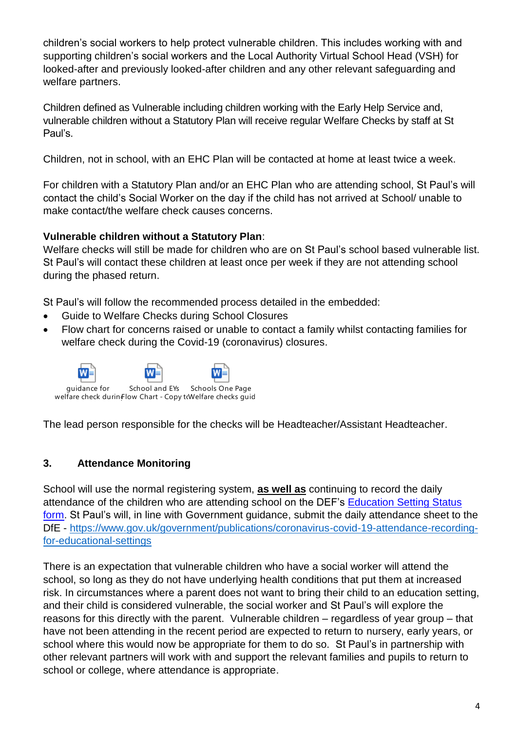children's social workers to help protect vulnerable children. This includes working with and supporting children's social workers and the Local Authority Virtual School Head (VSH) for looked-after and previously looked-after children and any other relevant safeguarding and welfare partners.

Children defined as Vulnerable including children working with the Early Help Service and, vulnerable children without a Statutory Plan will receive regular Welfare Checks by staff at St Paul's.

Children, not in school, with an EHC Plan will be contacted at home at least twice a week.

For children with a Statutory Plan and/or an EHC Plan who are attending school, St Paul's will contact the child's Social Worker on the day if the child has not arrived at School/ unable to make contact/the welfare check causes concerns.

#### **Vulnerable children without a Statutory Plan**:

Welfare checks will still be made for children who are on St Paul's school based vulnerable list. St Paul's will contact these children at least once per week if they are not attending school during the phased return.

St Paul's will follow the recommended process detailed in the embedded:

- Guide to Welfare Checks during School Closures
- Flow chart for concerns raised or unable to contact a family whilst contacting families for welfare check during the Covid-19 (coronavirus) closures.



The lead person responsible for the checks will be Headteacher/Assistant Headteacher.

#### **3. Attendance Monitoring**

School will use the normal registering system, **as well as** continuing to record the daily attendance of the children who are attending school on the DEF's [Education Setting Status](https://www.gov.uk/government/publications/coronavirus-covid-19-attendance-recording-for-educational-settings) [form.](https://www.gov.uk/government/publications/coronavirus-covid-19-attendance-recording-for-educational-settings) St Paul's will, in line with Government guidance, submit the daily attendance sheet to the DfE - [https://www.gov.uk/government/publications/coronavirus-covid-19-attendance-recording](https://www.gov.uk/government/publications/coronavirus-covid-19-attendance-recording-for-educational-settings)[for-educational-settings](https://www.gov.uk/government/publications/coronavirus-covid-19-attendance-recording-for-educational-settings) 

There is an expectation that vulnerable children who have a social worker will attend the school, so long as they do not have underlying health conditions that put them at increased risk. In circumstances where a parent does not want to bring their child to an education setting, and their child is considered vulnerable, the social worker and St Paul's will explore the reasons for this directly with the parent. Vulnerable children – regardless of year group – that have not been attending in the recent period are expected to return to nursery, early years, or school where this would now be appropriate for them to do so. St Paul's in partnership with other relevant partners will work with and support the relevant families and pupils to return to school or college, where attendance is appropriate.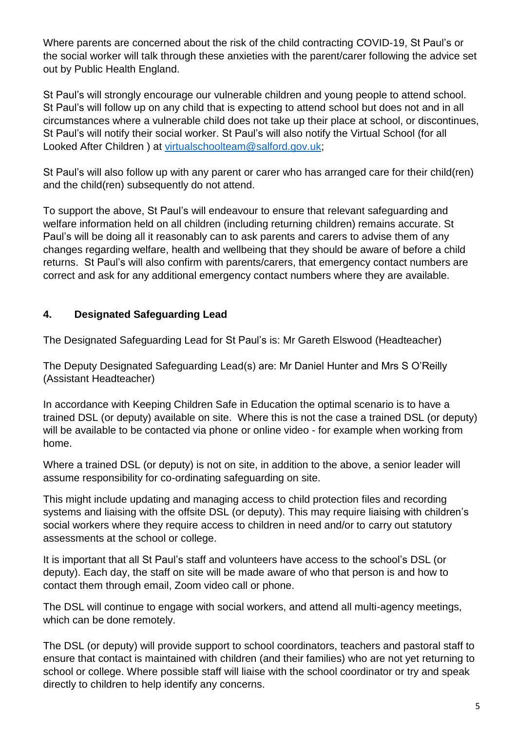Where parents are concerned about the risk of the child contracting COVID-19, St Paul's or the social worker will talk through these anxieties with the parent/carer following the advice set out by Public Health England.

St Paul's will strongly encourage our vulnerable children and young people to attend school. St Paul's will follow up on any child that is expecting to attend school but does not and in all circumstances where a vulnerable child does not take up their place at school, or discontinues, St Paul's will notify their social worker. St Paul's will also notify the Virtual School (for all Looked After Children ) at [virtualschoolteam@salford.gov.uk;](mailto:virtualschoolteam@salford.gov.uk)

St Paul's will also follow up with any parent or carer who has arranged care for their child(ren) and the child(ren) subsequently do not attend.

To support the above, St Paul's will endeavour to ensure that relevant safeguarding and welfare information held on all children (including returning children) remains accurate. St Paul's will be doing all it reasonably can to ask parents and carers to advise them of any changes regarding welfare, health and wellbeing that they should be aware of before a child returns. St Paul's will also confirm with parents/carers, that emergency contact numbers are correct and ask for any additional emergency contact numbers where they are available.

## **4. Designated Safeguarding Lead**

The Designated Safeguarding Lead for St Paul's is: Mr Gareth Elswood (Headteacher)

The Deputy Designated Safeguarding Lead(s) are: Mr Daniel Hunter and Mrs S O'Reilly (Assistant Headteacher)

In accordance with Keeping Children Safe in Education the optimal scenario is to have a trained DSL (or deputy) available on site. Where this is not the case a trained DSL (or deputy) will be available to be contacted via phone or online video - for example when working from home.

Where a trained DSL (or deputy) is not on site, in addition to the above, a senior leader will assume responsibility for co-ordinating safeguarding on site.

This might include updating and managing access to child protection files and recording systems and liaising with the offsite DSL (or deputy). This may require liaising with children's social workers where they require access to children in need and/or to carry out statutory assessments at the school or college.

It is important that all St Paul's staff and volunteers have access to the school's DSL (or deputy). Each day, the staff on site will be made aware of who that person is and how to contact them through email, Zoom video call or phone.

The DSL will continue to engage with social workers, and attend all multi-agency meetings, which can be done remotely.

The DSL (or deputy) will provide support to school coordinators, teachers and pastoral staff to ensure that contact is maintained with children (and their families) who are not yet returning to school or college. Where possible staff will liaise with the school coordinator or try and speak directly to children to help identify any concerns.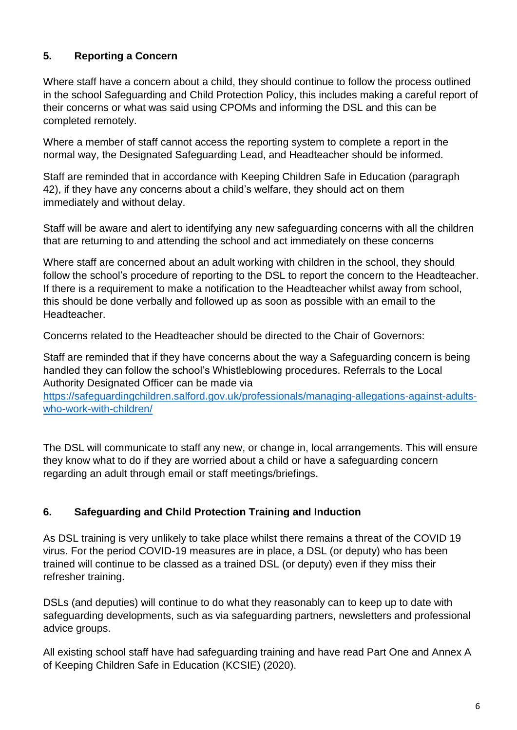## **5. Reporting a Concern**

Where staff have a concern about a child, they should continue to follow the process outlined in the school Safeguarding and Child Protection Policy, this includes making a careful report of their concerns or what was said using CPOMs and informing the DSL and this can be completed remotely.

Where a member of staff cannot access the reporting system to complete a report in the normal way, the Designated Safeguarding Lead, and Headteacher should be informed.

Staff are reminded that in accordance with Keeping Children Safe in Education (paragraph 42), if they have any concerns about a child's welfare, they should act on them immediately and without delay.

Staff will be aware and alert to identifying any new safeguarding concerns with all the children that are returning to and attending the school and act immediately on these concerns

Where staff are concerned about an adult working with children in the school, they should follow the school's procedure of reporting to the DSL to report the concern to the Headteacher. If there is a requirement to make a notification to the Headteacher whilst away from school, this should be done verbally and followed up as soon as possible with an email to the Headteacher.

Concerns related to the Headteacher should be directed to the Chair of Governors:

Staff are reminded that if they have concerns about the way a Safeguarding concern is being handled they can follow the school's Whistleblowing procedures. Referrals to the Local Authority Designated Officer can be made via

[https://safeguardingchildren.salford.gov.uk/professionals/managing-allegations-against-adults](https://safeguardingchildren.salford.gov.uk/professionals/managing-allegations-against-adults-who-work-with-children/)[who-work-with-children/](https://safeguardingchildren.salford.gov.uk/professionals/managing-allegations-against-adults-who-work-with-children/)

The DSL will communicate to staff any new, or change in, local arrangements. This will ensure they know what to do if they are worried about a child or have a safeguarding concern regarding an adult through email or staff meetings/briefings.

#### **6. Safeguarding and Child Protection Training and Induction**

As DSL training is very unlikely to take place whilst there remains a threat of the COVID 19 virus. For the period COVID-19 measures are in place, a DSL (or deputy) who has been trained will continue to be classed as a trained DSL (or deputy) even if they miss their refresher training.

DSLs (and deputies) will continue to do what they reasonably can to keep up to date with safeguarding developments, such as via safeguarding partners, newsletters and professional advice groups.

All existing school staff have had safeguarding training and have read Part One and Annex A of Keeping Children Safe in Education (KCSIE) (2020).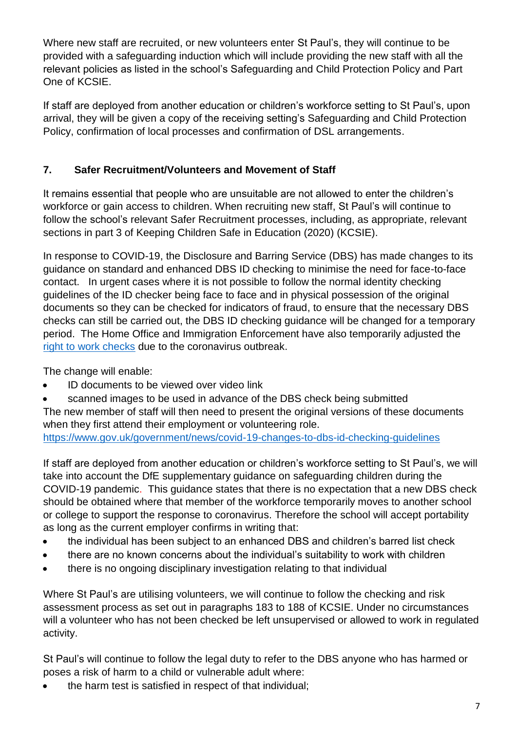Where new staff are recruited, or new volunteers enter St Paul's, they will continue to be provided with a safeguarding induction which will include providing the new staff with all the relevant policies as listed in the school's Safeguarding and Child Protection Policy and Part One of KCSIE.

If staff are deployed from another education or children's workforce setting to St Paul's, upon arrival, they will be given a copy of the receiving setting's Safeguarding and Child Protection Policy, confirmation of local processes and confirmation of DSL arrangements.

## **7. Safer Recruitment/Volunteers and Movement of Staff**

It remains essential that people who are unsuitable are not allowed to enter the children's workforce or gain access to children. When recruiting new staff, St Paul's will continue to follow the school's relevant Safer Recruitment processes, including, as appropriate, relevant sections in part 3 of Keeping Children Safe in Education (2020) (KCSIE).

In response to COVID-19, the Disclosure and Barring Service (DBS) has made changes to its guidance on standard and enhanced DBS ID checking to minimise the need for face-to-face contact. In urgent cases where it is not possible to follow the normal identity checking guidelines of the ID checker being face to face and in physical possession of the original documents so they can be checked for indicators of fraud, to ensure that the necessary DBS checks can still be carried out, the DBS ID checking guidance will be changed for a temporary period. The Home Office and Immigration Enforcement have also temporarily adjusted the [right to work checks](https://www.gov.uk/guidance/coronavirus-covid-19-right-to-work-checks) due to the coronavirus outbreak.

The change will enable:

- ID documents to be viewed over video link
- scanned images to be used in advance of the DBS check being submitted

The new member of staff will then need to present the original versions of these documents when they first attend their employment or volunteering role.

<https://www.gov.uk/government/news/covid-19-changes-to-dbs-id-checking-guidelines>

If staff are deployed from another education or children's workforce setting to St Paul's, we will take into account the DfE supplementary guidance on safeguarding children during the COVID-19 pandemic. This guidance states that there is no expectation that a new DBS check should be obtained where that member of the workforce temporarily moves to another school or college to support the response to coronavirus. Therefore the school will accept portability as long as the current employer confirms in writing that:

- the individual has been subject to an enhanced DBS and children's barred list check
- there are no known concerns about the individual's suitability to work with children
- there is no ongoing disciplinary investigation relating to that individual

Where St Paul's are utilising volunteers, we will continue to follow the checking and risk assessment process as set out in paragraphs 183 to 188 of KCSIE. Under no circumstances will a volunteer who has not been checked be left unsupervised or allowed to work in regulated activity.

St Paul's will continue to follow the legal duty to refer to the DBS anyone who has harmed or poses a risk of harm to a child or vulnerable adult where:

• the harm test is satisfied in respect of that individual;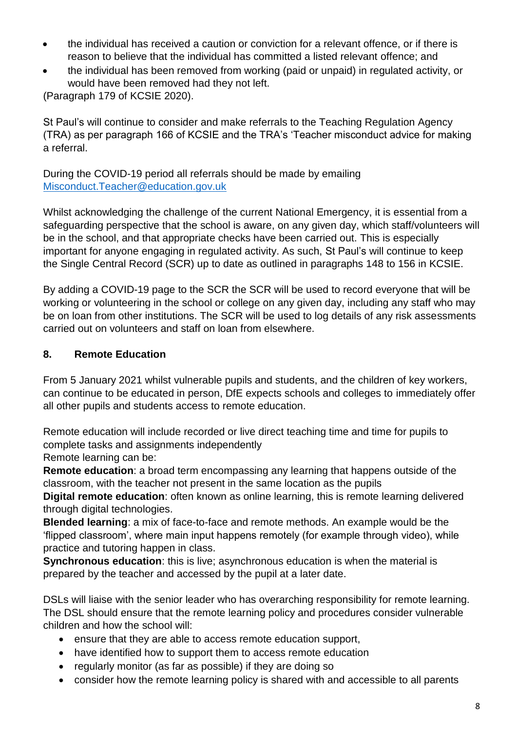- the individual has received a caution or conviction for a relevant offence, or if there is reason to believe that the individual has committed a listed relevant offence; and
- the individual has been removed from working (paid or unpaid) in regulated activity, or would have been removed had they not left.

(Paragraph 179 of KCSIE 2020).

St Paul's will continue to consider and make referrals to the Teaching Regulation Agency (TRA) as per paragraph 166 of KCSIE and the TRA's 'Teacher misconduct advice for making a referral.

During the COVID-19 period all referrals should be made by emailing [Misconduct.Teacher@education.gov.uk](mailto:Misconduct.Teacher@education.gov.uk)

Whilst acknowledging the challenge of the current National Emergency, it is essential from a safeguarding perspective that the school is aware, on any given day, which staff/volunteers will be in the school, and that appropriate checks have been carried out. This is especially important for anyone engaging in regulated activity. As such, St Paul's will continue to keep the Single Central Record (SCR) up to date as outlined in paragraphs 148 to 156 in KCSIE.

By adding a COVID-19 page to the SCR the SCR will be used to record everyone that will be working or volunteering in the school or college on any given day, including any staff who may be on loan from other institutions. The SCR will be used to log details of any risk assessments carried out on volunteers and staff on loan from elsewhere.

#### **8. Remote Education**

From 5 January 2021 whilst vulnerable pupils and students, and the children of key workers, can continue to be educated in person, DfE expects schools and colleges to immediately offer all other pupils and students access to remote education.

Remote education will include recorded or live direct teaching time and time for pupils to complete tasks and assignments independently

Remote learning can be:

**Remote education**: a broad term encompassing any learning that happens outside of the classroom, with the teacher not present in the same location as the pupils

**Digital remote education**: often known as online learning, this is remote learning delivered through digital technologies.

**Blended learning**: a mix of face-to-face and remote methods. An example would be the 'flipped classroom', where main input happens remotely (for example through video), while practice and tutoring happen in class.

**Synchronous education**: this is live; asynchronous education is when the material is prepared by the teacher and accessed by the pupil at a later date.

DSLs will liaise with the senior leader who has overarching responsibility for remote learning. The DSL should ensure that the remote learning policy and procedures consider vulnerable children and how the school will:

- ensure that they are able to access remote education support,
- have identified how to support them to access remote education
- regularly monitor (as far as possible) if they are doing so
- consider how the remote learning policy is shared with and accessible to all parents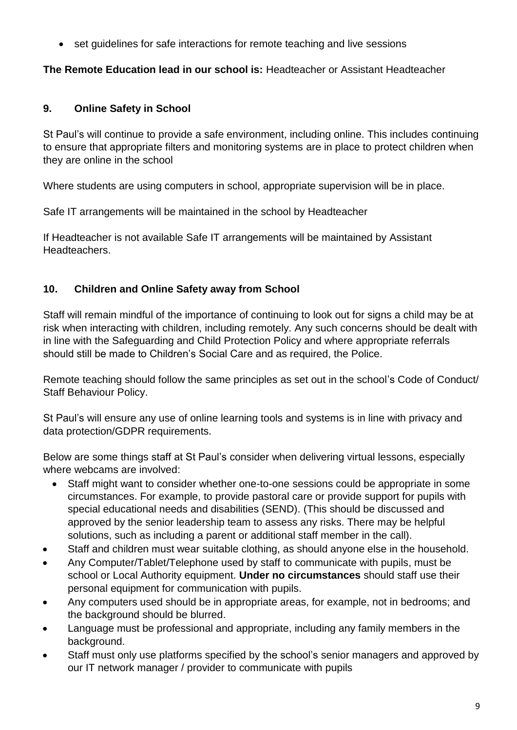• set guidelines for safe interactions for remote teaching and live sessions

#### **The Remote Education lead in our school is:** Headteacher or Assistant Headteacher

#### **9. Online Safety in School**

St Paul's will continue to provide a safe environment, including online. This includes continuing to ensure that appropriate filters and monitoring systems are in place to protect children when they are online in the school

Where students are using computers in school, appropriate supervision will be in place.

Safe IT arrangements will be maintained in the school by Headteacher

If Headteacher is not available Safe IT arrangements will be maintained by Assistant Headteachers.

## **10. Children and Online Safety away from School**

Staff will remain mindful of the importance of continuing to look out for signs a child may be at risk when interacting with children, including remotely. Any such concerns should be dealt with in line with the Safeguarding and Child Protection Policy and where appropriate referrals should still be made to Children's Social Care and as required, the Police.

Remote teaching should follow the same principles as set out in the school's Code of Conduct/ Staff Behaviour Policy.

St Paul's will ensure any use of online learning tools and systems is in line with privacy and data protection/GDPR requirements.

Below are some things staff at St Paul's consider when delivering virtual lessons, especially where webcams are involved:

- Staff might want to consider whether one-to-one sessions could be appropriate in some circumstances. For example, to provide pastoral care or provide support for pupils with special educational needs and disabilities (SEND). (This should be discussed and approved by the senior leadership team to assess any risks. There may be helpful solutions, such as including a parent or additional staff member in the call).
- Staff and children must wear suitable clothing, as should anyone else in the household.
- Any Computer/Tablet/Telephone used by staff to communicate with pupils, must be school or Local Authority equipment. **Under no circumstances** should staff use their personal equipment for communication with pupils.
- Any computers used should be in appropriate areas, for example, not in bedrooms; and the background should be blurred.
- Language must be professional and appropriate, including any family members in the background.
- Staff must only use platforms specified by the school's senior managers and approved by our IT network manager / provider to communicate with pupils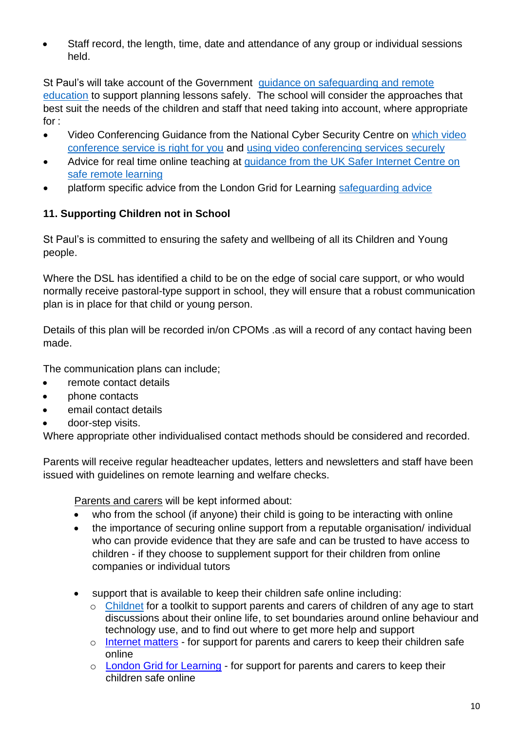• Staff record, the length, time, date and attendance of any group or individual sessions held.

St Paul's will take account of the Government guidance on safeguarding and remote [education](https://www.gov.uk/guidance/safeguarding-and-remote-education-during-coronavirus-covid-19) to support planning lessons safely. The school will consider the approaches that best suit the needs of the children and staff that need taking into account, where appropriate for :

- Video Conferencing Guidance from the National Cyber Security Centre on which video [conference service is right for you](https://www.ncsc.gov.uk/guidance/video-conferencing-services-security-guidance-organisations) and [using video conferencing services securely](https://www.ncsc.gov.uk/guidance/video-conferencing-services-using-them-securely)
- Advice for real time online teaching at [guidance from the UK Safer Internet Centre on](https://swgfl.org.uk/resources/safe-remote-learning/)  [safe remote learning](https://swgfl.org.uk/resources/safe-remote-learning/)
- platform specific advice from the London Grid for Learning [safeguarding advice](https://coronavirus.lgfl.net/safeguarding)

#### **11. Supporting Children not in School**

St Paul's is committed to ensuring the safety and wellbeing of all its Children and Young people.

Where the DSL has identified a child to be on the edge of social care support, or who would normally receive pastoral-type support in school, they will ensure that a robust communication plan is in place for that child or young person.

Details of this plan will be recorded in/on CPOMs .as will a record of any contact having been made.

The communication plans can include;

- remote contact details
- phone contacts
- email contact details
- door-step visits.

Where appropriate other individualised contact methods should be considered and recorded.

Parents will receive regular headteacher updates, letters and newsletters and staff have been issued with guidelines on remote learning and welfare checks.

Parents and carers will be kept informed about:

- who from the school (if anyone) their child is going to be interacting with online
- the importance of securing online support from a reputable organisation/ individual who can provide evidence that they are safe and can be trusted to have access to children - if they choose to supplement support for their children from online companies or individual tutors
- support that is available to keep their children safe online including:
	- o [Childnet](https://www.childnet.com/parents-and-carers/parent-and-carer-toolkit) for a toolkit to support parents and carers of children of any age to start discussions about their online life, to set boundaries around online behaviour and technology use, and to find out where to get more help and support
	- o [Internet matters](https://www.internetmatters.org/?gclid=EAIaIQobChMIktuA5LWK2wIVRYXVCh2afg2aEAAYASAAEgIJ5vD_BwE) for support for parents and carers to keep their children safe online
	- o [London Grid for Learning](http://www.lgfl.net/online-safety/) for support for parents and carers to keep their children safe online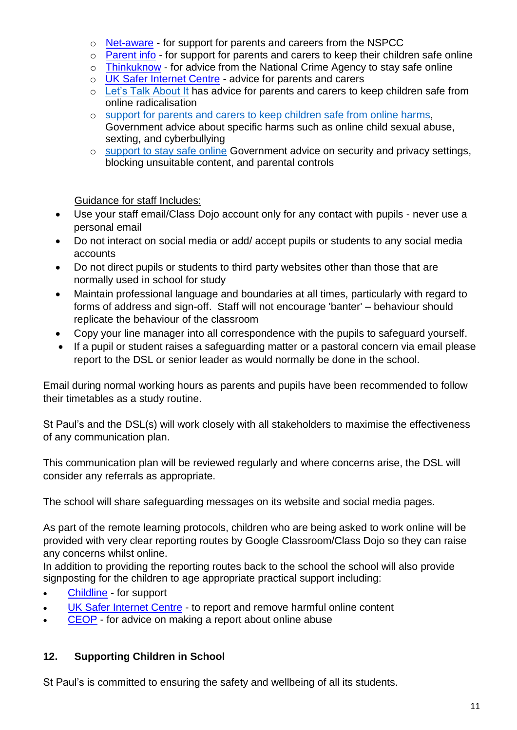- o [Net-aware](https://www.net-aware.org.uk/) for support for parents and careers from the NSPCC
- o [Parent info](https://parentinfo.org/) for support for parents and carers to keep their children safe online
- o [Thinkuknow](http://www.thinkuknow.co.uk/) for advice from the National Crime Agency to stay safe online
- o [UK Safer Internet Centre](https://www.saferinternet.org.uk/advice-centre/parents-and-carers) advice for parents and carers
- o [Let's Talk About It](https://www.ltai.info/staying-safe-online/) has advice for parents and carers to keep children safe from online radicalisation
- o [support for parents and carers to keep children safe from online harms,](https://www.gov.uk/government/publications/coronavirus-covid-19-keeping-children-safe-online/coronavirus-covid-19-support-for-parents-and-carers-to-keep-children-safe-online) Government advice about specific harms such as online child sexual abuse, sexting, and cyberbullying
- o [support to stay safe online](https://www.gov.uk/guidance/covid-19-staying-safe-online) Government advice on security and privacy settings, blocking unsuitable content, and parental controls

Guidance for staff Includes:

- Use your staff email/Class Dojo account only for any contact with pupils never use a personal email
- Do not interact on social media or add/ accept pupils or students to any social media accounts
- Do not direct pupils or students to third party websites other than those that are normally used in school for study
- Maintain professional language and boundaries at all times, particularly with regard to forms of address and sign-off. Staff will not encourage 'banter' – behaviour should replicate the behaviour of the classroom
- Copy your line manager into all correspondence with the pupils to safeguard yourself.
- If a pupil or student raises a safeguarding matter or a pastoral concern via email please report to the DSL or senior leader as would normally be done in the school.

Email during normal working hours as parents and pupils have been recommended to follow their timetables as a study routine.

St Paul's and the DSL(s) will work closely with all stakeholders to maximise the effectiveness of any communication plan.

This communication plan will be reviewed regularly and where concerns arise, the DSL will consider any referrals as appropriate.

The school will share safeguarding messages on its website and social media pages.

As part of the remote learning protocols, children who are being asked to work online will be provided with very clear reporting routes by Google Classroom/Class Dojo so they can raise any concerns whilst online.

In addition to providing the reporting routes back to the school the school will also provide signposting for the children to age appropriate practical support including:

- [Childline](https://www.childline.org.uk/?utm_source=google&utm_medium=cpc&utm_campaign=UK_GO_S_B_BND_Grant_Childline_Information&utm_term=role_of_childline&gclsrc=aw.ds&&gclid=EAIaIQobChMIlfLRh-ez6AIVRrDtCh1N9QR2EAAYASAAEgLc-vD_BwE&gclsrc=aw.ds) for support
- [UK Safer Internet Centre](https://reportharmfulcontent.com/) to report and remove harmful online content
- [CEOP](https://www.ceop.police.uk/safety-centre/) for advice on making a report about online abuse

## **12. Supporting Children in School**

St Paul's is committed to ensuring the safety and wellbeing of all its students.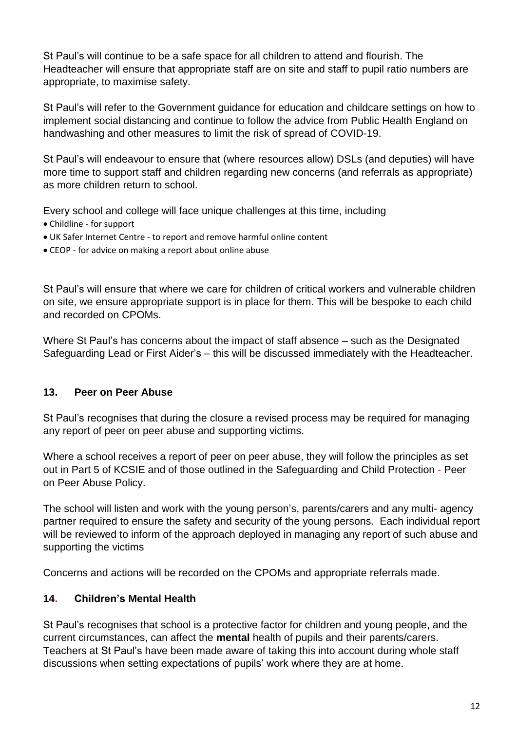St Paul's will continue to be a safe space for all children to attend and flourish. The Headteacher will ensure that appropriate staff are on site and staff to pupil ratio numbers are appropriate, to maximise safety.

St Paul's will refer to the Government guidance for education and childcare settings on how to implement social distancing and continue to follow the advice from Public Health England on handwashing and other measures to limit the risk of spread of COVID-19.

St Paul's will endeavour to ensure that (where resources allow) DSLs (and deputies) will have more time to support staff and children regarding new concerns (and referrals as appropriate) as more children return to school.

Every school and college will face unique challenges at this time, including

- Childline for support
- UK Safer Internet Centre to report and remove harmful online content
- CEOP for advice on making a report about online abuse

St Paul's will ensure that where we care for children of critical workers and vulnerable children on site, we ensure appropriate support is in place for them. This will be bespoke to each child and recorded on CPOMs.

Where St Paul's has concerns about the impact of staff absence – such as the Designated Safeguarding Lead or First Aider's – this will be discussed immediately with the Headteacher.

#### **13. Peer on Peer Abuse**

St Paul's recognises that during the closure a revised process may be required for managing any report of peer on peer abuse and supporting victims.

Where a school receives a report of peer on peer abuse, they will follow the principles as set out in Part 5 of KCSIE and of those outlined in the Safeguarding and Child Protection - Peer on Peer Abuse Policy.

The school will listen and work with the young person's, parents/carers and any multi- agency partner required to ensure the safety and security of the young persons. Each individual report will be reviewed to inform of the approach deployed in managing any report of such abuse and supporting the victims

Concerns and actions will be recorded on the CPOMs and appropriate referrals made.

## **14. Children's Mental Health**

St Paul's recognises that school is a protective factor for children and young people, and the current circumstances, can affect the **mental** health of pupils and their parents/carers. Teachers at St Paul's have been made aware of taking this into account during whole staff discussions when setting expectations of pupils' work where they are at home.